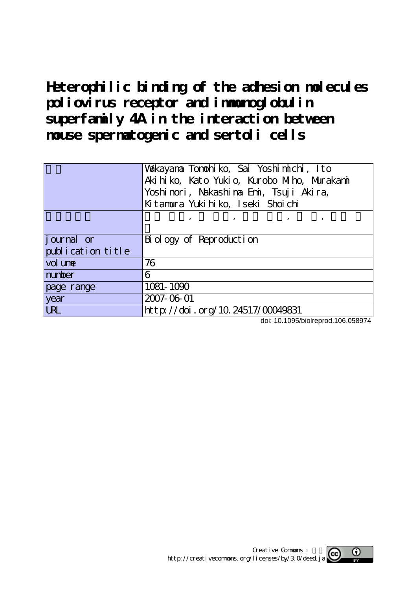**Heterophilic binding of the adhesion molecules poliovirus receptor and immunoglobulin superfamily 4A in the interaction between mouse spermatogenic and sertoli cells**

|                    | Wakayana Tonohiko, Sai Yoshimichi, Ito<br>Aki hi ko, Kato Yukio, Kurobo Miho, Murakani<br>Yoshinori, Nakashina Emi, Tsuji Akira,<br>Kitanura Yukihiko, Iseki Shoichi |
|--------------------|----------------------------------------------------------------------------------------------------------------------------------------------------------------------|
|                    | та произведение по произведение с произведение с произведение с произведение с произведение с произведение с п                                                       |
| <i>j</i> ournal or | Biology of Reproduction                                                                                                                                              |
| publication title  |                                                                                                                                                                      |
| vol une            | 76                                                                                                                                                                   |
| number             | 6                                                                                                                                                                    |
| page range         | 1081-1090                                                                                                                                                            |
| year               | 2007-06-01                                                                                                                                                           |
| <b>URL</b>         | http://doi.org/10.24517/00049831                                                                                                                                     |

doi: 10.1095/biolreprod.106.058974

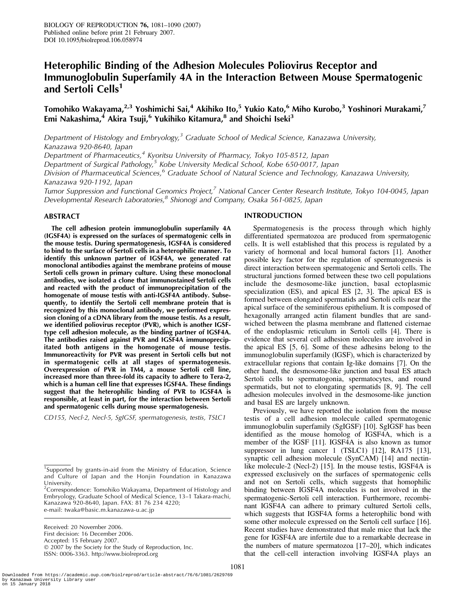# Heterophilic Binding of the Adhesion Molecules Poliovirus Receptor and Immunoglobulin Superfamily 4A in the Interaction Between Mouse Spermatogenic and Sertoli Cells<sup>1</sup>

Tomohiko Wakayama, $^{2,3}$  Yoshimichi Sai, $^4$  Akihiko Ito, $^5$  Yukio Kato, $^6$  Miho Kurobo, $^3$  Yoshinori Murakami, $^7$ Emi Nakashima, $^4$  Akira Tsuji, $^6$  Yukihiko Kitamura, $^8$  and Shoichi Iseki $^3$ 

Department of Histology and Embryology, $3$  Graduate School of Medical Science, Kanazawa University, Kanazawa 920-8640, Japan

Department of Pharmaceutics,<sup>4</sup> Kyoritsu University of Pharmacy, Tokyo 105-8512, Japan

Department of Surgical Pathology,<sup>5</sup> Kobe University Medical School, Kobe 650-0017, Japan

Division of Pharmaceutical Sciences,<sup>6</sup> Graduate School of Natural Science and Technology, Kanazawa University, Kanazawa 920-1192, Japan

Tumor Suppression and Functional Genomics Project,<sup>7</sup> National Cancer Center Research Institute, Tokyo 104-0045, Japan Developmental Research Laboratories,<sup>8</sup> Shionogi and Company, Osaka 561-0825, Japan

### ABSTRACT

The cell adhesion protein immunoglobulin superfamily 4A (IGSF4A) is expressed on the surfaces of spermatogenic cells in the mouse testis. During spermatogenesis, IGSF4A is considered to bind to the surface of Sertoli cells in a heterophilic manner. To identify this unknown partner of IGSF4A, we generated rat monoclonal antibodies against the membrane proteins of mouse Sertoli cells grown in primary culture. Using these monoclonal antibodies, we isolated a clone that immunostained Sertoli cells and reacted with the product of immunoprecipitation of the homogenate of mouse testis with anti-IGSF4A antibody. Subsequently, to identify the Sertoli cell membrane protein that is recognized by this monoclonal antibody, we performed expression cloning of a cDNA library from the mouse testis. As a result, we identified poliovirus receptor (PVR), which is another IGSFtype cell adhesion molecule, as the binding partner of IGSF4A. The antibodies raised against PVR and IGSF4A immunoprecipitated both antigens in the homogenate of mouse testis. Immunoreactivity for PVR was present in Sertoli cells but not in spermatogenic cells at all stages of spermatogenesis. Overexpression of PVR in TM4, a mouse Sertoli cell line, increased more than three-fold its capacity to adhere to Tera-2, which is a human cell line that expresses IGSF4A. These findings suggest that the heterophilic binding of PVR to IGSF4A is responsible, at least in part, for the interaction between Sertoli and spermatogenic cells during mouse spermatogenesis.

CD155, Necl-2, Necl-5, SgIGSF, spermatogenesis, testis, TSLC1

Received: 20 November 2006. First decision: 16 December 2006. Accepted: 15 February 2007.  $© 2007$  by the Society for the Study of Reproduction, Inc. ISSN: 0006-3363. http://www.biolreprod.org

### INTRODUCTION

Spermatogenesis is the process through which highly differentiated spermatozoa are produced from spermatogenic cells. It is well established that this process is regulated by a variety of hormonal and local humoral factors [1]. Another possible key factor for the regulation of spermatogenesis is direct interaction between spermatogenic and Sertoli cells. The structural junctions formed between these two cell populations include the desmosome-like junction, basal ectoplasmic specialization (ES), and apical ES [2, 3]. The apical ES is formed between elongated spermatids and Sertoli cells near the apical surface of the seminiferous epithelium. It is composed of hexagonally arranged actin filament bundles that are sandwiched between the plasma membrane and flattened cisternae of the endoplasmic reticulum in Sertoli cells [4]. There is evidence that several cell adhesion molecules are involved in the apical ES [5, 6]. Some of these adhesins belong to the immunoglobulin superfamily (IGSF), which is characterized by extracellular regions that contain Ig-like domains [7]. On the other hand, the desmosome-like junction and basal ES attach Sertoli cells to spermatogonia, spermatocytes, and round spermatids, but not to elongating spermatids [8, 9]. The cell adhesion molecules involved in the desmosome-like junction and basal ES are largely unknown.

Previously, we have reported the isolation from the mouse testis of a cell adhesion molecule called spermatogenic immunoglobulin superfamily (SgIGSF) [10]. SgIGSF has been identified as the mouse homolog of IGSF4A, which is a member of the IGSF [11]. IGSF4A is also known as tumor suppressor in lung cancer 1 (TSLC1) [12], RA175 [13], synaptic cell adhesion molecule (SynCAM) [14] and nectinlike molecule-2 (Necl-2) [15]. In the mouse testis, IGSF4A is expressed exclusively on the surfaces of spermatogenic cells and not on Sertoli cells, which suggests that homophilic binding between IGSF4A molecules is not involved in the spermatogenic-Sertoli cell interaction. Furthermore, recombinant IGSF4A can adhere to primary cultured Sertoli cells, which suggests that IGSF4A forms a heterophilic bond with some other molecule expressed on the Sertoli cell surface [16]. Recent studies have demonstrated that male mice that lack the gene for IGSF4A are infertile due to a remarkable decrease in the numbers of mature spermatozoa [17–20], which indicates that the cell-cell interaction involving IGSF4A plays an

<sup>&</sup>lt;sup>1</sup>Supported by grants-in-aid from the Ministry of Education, Science and Culture of Japan and the Honjin Foundation in Kanazawa University.

 $2$ Correspondence: Tomohiko Wakayama, Department of Histology and Embryology, Graduate School of Medical Science, 13–1 Takara-machi, Kanazawa 920-8640, Japan. FAX: 81 76 234 4220; e-mail: twaka@basic.m.kanazawa-u.ac.jp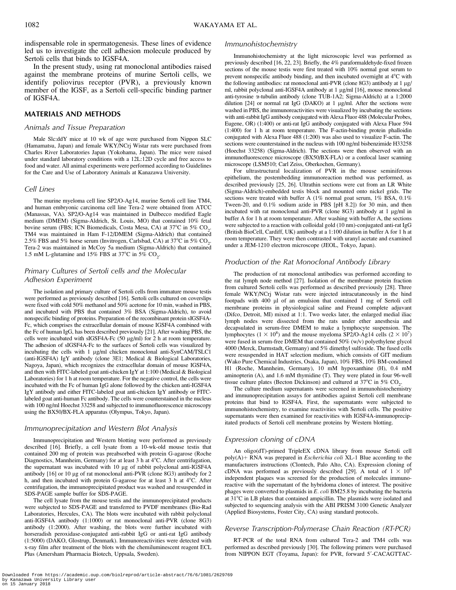indispensable role in spermatogenesis. These lines of evidence led us to investigate the cell adhesion molecule produced by Sertoli cells that binds to IGSF4A.

In the present study, using rat monoclonal antibodies raised against the membrane proteins of murine Sertoli cells, we identify poliovirus receptor (PVR), a previously known member of the IGSF, as a Sertoli cell-specific binding partner of IGSF4A.

# MATERIALS AND METHODS

#### Animals and Tissue Preparation

Male Slc:ddY mice at 10 wk of age were purchased from Nippon SLC (Hamamatsu, Japan) and female WKY/NCrj Wistar rats were purchased from Charles River Laboratories Japan (Yokohama, Japan). The mice were raised under standard laboratory conditions with a 12L:12D cycle and free access to food and water. All animal experiments were performed according to Guidelines for the Care and Use of Laboratory Animals at Kanazawa University.

#### Cell Lines

The murine myeloma cell line SP2/O-Ag14, murine Sertoli cell line TM4, and human embryonic carcinoma cell line Tera-2 were obtained from ATCC (Manassas, VA). SP2/O-Ag14 was maintained in Dulbecco modified Eagle medium (DMEM) (Sigma-Aldrich, St. Louis, MO) that contained 10% fetal bovine serum (FBS; ICN Biomedicals, Costa Mesa, CA) at  $37^{\circ}$ C in  $5\%$  CO<sub>2</sub>. TM4 was maintained in Ham F-12/DMEM (Sigma-Aldrich) that contained 2.5% FBS and 5% horse serum (Invitrogen, Carlsbad, CA) at  $37^{\circ}$ C in 5% CO<sub>2</sub>. Tera-2 was maintained in McCoy 5a medium (Sigma-Aldrich) that contained 1.5 mM L-glutamine and 15% FBS at 37°C in 5%  $CO_2$ .

# Primary Cultures of Sertoli cells and the Molecular Adhesion Experiment

The isolation and primary culture of Sertoli cells from immature mouse testis were performed as previously described [16]. Sertoli cells cultured on coverslips were fixed with cold 50% methanol and 50% acetone for 10 min, washed in PBS, and incubated with PBS that contained 3% BSA (Sigma-Aldrich), to avoid nonspecific binding of proteins. Preparation of the recombinant protein sIGSF4A-Fc, which comprises the extracellular domain of mouse IGSF4A combined with the Fc of human IgG, has been described previously [21]. After washing PBS, the cells were incubated with sIGSF4A-Fc  $(50 \mu g/ml)$  for 2 h at room temperature. The adhesion of sIGSF4A-Fc to the surfaces of Sertoli cells was visualized by incubating the cells with 1 µg/ml chicken monoclonal anti-SynCAM/TSLC1 (anti-IGSF4A) IgY antibody (clone 3E1; Medical & Biological Laboratories, Nagoya, Japan), which recognizes the extracellular domain of mouse IGSF4A, and then with FITC-labeled goat anti-chicken IgY at 1:100 (Medical & Biological Laboratories) for 1 h at room temperature. For the negative control, the cells were incubated with the Fc of human IgG alone followed by the chicken anti-IGSF4A IgY antibody and either FITC-labeled goat anti-chicken IgY antibody or FITClabeled goat anti-human Fc antibody. The cells were counterstained in the nucleus with 100 ng/ml Hoechst 33258 and subjected to immunofluorescence microscopy using the BX50/BX-FLA apparatus (Olympus, Tokyo, Japan).

#### Immunoprecipitation and Western Blot Analysis

Immunoprecipitation and Western blotting were performed as previously described [16]. Briefly, a cell lysate from a 10-wk-old mouse testis that contained 200 mg of protein was preabsorbed with protein G-agarose (Roche Diagnostics, Mannheim, Germany) for at least  $3 h$  at  $4^{\circ}$ C. After centrifugation, the supernatant was incubated with 10 µg of rabbit polyclonal anti-IGSF4A antibody [16] or 10 µg of rat monoclonal anti-PVR (clone 8G3) antibody for 2 h, and then incubated with protein G-agarose for at least 3 h at 4°C. After centrifugation, the immunoprecipitated product was washed and resuspended in SDS-PAGE sample buffer for SDS-PAGE.

The cell lysate from the mouse testis and the immunoprecipitated products were subjected to SDS-PAGE and transferred to PVDF membranes (Bio-Rad Laboratories, Hercules, CA). The blots were incubated with rabbit polyclonal anti-IGSF4A antibody (1:1000) or rat monoclonal anti-PVR (clone 8G3) antibody (1:2000). After washing, the blots were further incubated with horseradish peroxidase-conjugated anti-rabbit IgG or anti-rat IgG antibody (1:5000) (DAKO, Glostrup, Denmark). Immunoreactivities were detected with x-ray film after treatment of the blots with the chemiluminescent reagent ECL Plus (Amersham Pharmacia Biotech, Uppsala, Sweden).

### Immunohistochemistry

Immunohistochemistry at the light microscopic level was performed as previously described [16, 22, 23]. Briefly, the 4% paraformaldehyde-fixed frozen sections of the mouse testis were first treated with 10% normal goat serum to prevent nonspecific antibody binding, and then incubated overnight at  $4^{\circ}$ C with the following antibodies: rat monoclonal anti-PVR (clone  $8G3$ ) antibody at 1  $\mu$ g/ ml, rabbit polyclonal anti-IGSF4A antibody at 1 µg/ml [16], mouse monoclonal anti-tyrosine a-tubulin antibody (clone TUB-1A2; Sigma-Aldrich) at a 1:2000 dilution  $[24]$  or normal rat IgG (DAKO) at 1  $\mu$ g/ml. After the sections were washed in PBS, the immunoreactivities were visualized by incubating the sections with anti-rabbit IgG antibody conjugated with Alexa Fluor 488 (Molecular Probes, Eugene, OR) (1:400) or anti-rat IgG antibody conjugated with Alexa Fluor 594 (1:400) for 1 h at room temperature. The F-actin-binding protein phalloidin conjugated with Alexa Fluor 488 (1:200) was also used to visualize F-actin. The sections were counterstained in the nucleus with 100 ng/ml bisbenzimide H33258 (Hoechst 33258) (Sigma-Aldrich). The sections were then observed with an immunofluorescence microscope (BX50/BX-FLA) or a confocal laser scanning microscope (LSM510; Carl Zeiss, Oberkochen, Germany).

For ultrastructural localization of PVR in the mouse seminiferous epithelium, the postembedding immunoreaction method was performed, as described previously [25, 26]. Ultrathin sections were cut from an LR White (Sigma-Aldrich)-embedded testis block and mounted onto nickel grids. The sections were treated with buffer A (1% normal goat serum, 1% BSA, 0.1% Tween-20, and 0.1% sodium azide in PBS [pH 8.2]) for 30 min, and then incubated with rat monoclonal anti-PVR (clone 8G3) antibody at 1 µg/ml in buffer A for 1 h at room temperature. After washing with buffer A, the sections were subjected to a reaction with colloidal gold (10 nm)-conjugated anti-rat IgG (British BioCell, Cardiff, UK) antibody at a 1:100 dilution in buffer A for 1 h at room temperature. They were then contrasted with uranyl acetate and examined under a JEM-1210 electron microscope (JEOL, Tokyo, Japan).

### Production of the Rat Monoclonal Antibody Library

The production of rat monoclonal antibodies was performed according to the rat lymph node method [27]. Isolation of the membrane protein fraction from cultured Sertoli cells was performed as described previously [28]. Three female WKY/NCrj Wistar rats were injected intracutaneously in the hind footpads with 400 µl of an emulsion that contained 1 mg of Sertoli cell membrane proteins in physiological saline and Freund complete adjuvant (Difco, Detroit, MI) mixed at 1:1. Two weeks later, the enlarged medial iliac lymph nodes were dissected from the rats under ether anesthesia and decapsulated in serum-free DMEM to make a lymphocyte suspension. The lymphocytes ( $1 \times 10^8$ ) and the mouse myeloma SP2/O-Ag14 cells ( $2 \times 10^7$ ) were fused in serum-free DMEM that contained 50% (w/v) polyethylene glycol 4000 (Merck, Darmstadt, Germany) and 5% dimethyl sulfoxide. The fused cells were resuspended in HAT selection medium, which consists of GIT medium (Wako Pure Chemical Industries, Osaka, Japan), 10% FBS, 10% BM-condimed H1 (Roche, Mannheim, Germany), 10 mM hypoxanthine (H), 0.4 mM aminopterin (A), and 1.6 mM thymidine (T). They were plated in four 96-well tissue culture plates (Becton Dickinson) and cultured at  $37^{\circ}$ C in  $5\%$  CO<sub>2</sub>.

The culture medium supernatants were screened in immunohistochemistry and immunoprecipitation assays for antibodies against Sertoli cell membrane proteins that bind to IGSF4A. First, the supernatants were subjected to immunohistochemistry, to examine reactivities with Sertoli cells. The positive supernatants were then examined for reactivities with IGSF4A-immunoprecipitated products of Sertoli cell membrane proteins by Western blotting.

#### Expression cloning of cDNA

An oligo(dT)-primed TripleEX cDNA library from mouse Sertoli cell  $poly(A)$  RNA was prepared in *Escherichia coli* XL-1 Blue according to the manufacturers instructions (Clontech, Palo Alto, CA). Expression cloning of cDNA was performed as previously described [29]. A total of  $1 \times 10^6$ independent plaques was screened for the production of molecules immunoreactive with the supernatant of the hybridoma clones of interest. The positive phages were converted to plasmids in E. coli BM25.8 by incubating the bacteria at  $31^{\circ}$ C in LB plates that contained ampicillin. The plasmids were isolated and subjected to sequencing analysis with the ABI PRISM 3100 Genetic Analyzer (Applied Biosystems, Foster City, CA) using standard protocols.

#### Reverse Transcription-Polymerase Chain Reaction (RT-PCR)

RT-PCR of the total RNA from cultured Tera-2 and TM4 cells was performed as described previously [30]. The following primers were purchased from NIPPON EGT (Toyama, Japan): for PVR, forward 5'-CACAGTTAC-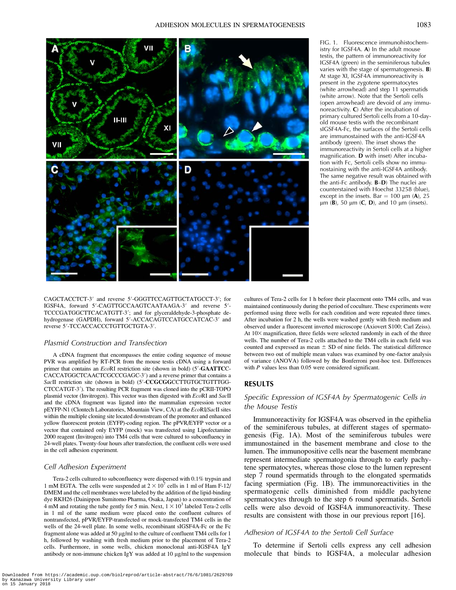

FIG. 1. Fluorescence immunohistochemistry for IGSF4A. A) In the adult mouse testis, the pattern of immunoreactivity for IGSF4A (green) in the seminiferous tubules varies with the stage of spermatogenesis. B) At stage XI, IGSF4A immunoreactivity is present in the zygotene spermatocytes (white arrowhead) and step 11 spermatids (white arrow). Note that the Sertoli cells (open arrowhead) are devoid of any immunoreactivity. C) After the incubation of primary cultured Sertoli cells from a 10-dayold mouse testis with the recombinant sIGSF4A-Fc, the surfaces of the Sertoli cells are immunostained with the anti-IGSF4A antibody (green). The inset shows the immunoreactivity in Sertoli cells at a higher magnification. D with inset) After incubation with Fc, Sertoli cells show no immunostaining with the anti-IGSF4A antibody. The same negative result was obtained with the anti-Fc antibody. B–D) The nuclei are counterstained with Hoechst 33258 (blue), except in the insets. Bar = 100  $\mu$ m (A), 25  $\mu$ m (B), 50  $\mu$ m (C, D), and 10  $\mu$ m (insets).

CAGCTACCTCT-3' and reverse 5'-GGGTTCCAGTTGCTATGCCT-3'; for IGSF4A, forward 5'-CAGTTGCCAAGTCAATAAGA-3' and reverse 5'-TCCCGATGGCTTCACATGTT-3'; and for glyceraldehyde-3-phosphate dehydrogenase (GAPDH), forward 5'-ACCACAGTCCATGCCATCAC-3' and reverse 5'-TCCACCACCCTGTTGCTGTA-3'.

#### Plasmid Construction and Transfection

A cDNA fragment that encompasses the entire coding sequence of mouse PVR was amplified by RT-PCR from the mouse testis cDNA using a forward primer that contains an *Eco*RI restriction site (shown in bold) (5'-GAATTCC-CACCATGGCTCAACTCGCCCGAGC-3') and a reverse primer that contains a SacII restriction site (shown in bold) (5'-CCGCGGCCTTGTGCTGTTTGG-CTCCATGT-3'). The resulting PCR fragment was cloned into the pCRII-TOPO plasmid vector (Invitrogen). This vector was then digested with EcoRI and SacII and the cDNA fragment was ligated into the mammalian expression vector pEYFP-N1 (Clontech Laboratories, Mountain View, CA) at the EcoRI/SacII sites within the multiple cloning site located downstream of the promoter and enhanced yellow fluorescent protein (EYFP)-coding region. The pPVR/EYFP vector or a vector that contained only EYFP (mock) was transfected using Lipofectamine 2000 reagent (Invitrogen) into TM4 cells that were cultured to subconfluency in 24-well plates. Twenty-four hours after transfection, the confluent cells were used in the cell adhesion experiment.

#### Cell Adhesion Experiment

Tera-2 cells cultured to subconfluency were dispersed with 0.1% trypsin and 1 mM EGTA. The cells were suspended at  $2 \times 10^7$  cells in 1 ml of Ham F-12/ DMEM and the cell membranes were labeled by the addition of the lipid-binding dye RKH26 (Dainippon Sumitomo Pharma, Osaka, Japan) to a concentration of 4 mM and rotating the tube gently for 5 min. Next,  $1 \times 10^3$  labeled Tera-2 cells in 1 ml of the same medium were placed onto the confluent cultures of nontransfected, pPVR/EYFP-transfected or mock-transfected TM4 cells in the wells of the 24-well plate. In some wells, recombinant sIGSF4A-Fc or the Fc fragment alone was added at 50 µg/ml to the culture of confluent TM4 cells for 1 h, followed by washing with fresh medium prior to the placement of Tera-2 cells. Furthermore, in some wells, chicken monoclonal anti-IGSF4A IgY antibody or non-immune chicken IgY was added at  $10 \mu g/ml$  to the suspension

cultures of Tera-2 cells for 1 h before their placement onto TM4 cells, and was maintained continuously during the period of coculture. These experiments were performed using three wells for each condition and were repeated three times. After incubation for 2 h, the wells were washed gently with fresh medium and observed under a fluorescent inverted microscope (Axiovert S100; Carl Zeiss). At  $10\times$  magnification, three fields were selected randomly in each of the three wells. The number of Tera-2 cells attached to the TM4 cells in each field was counted and expressed as mean  $\pm$  SD of nine fields. The statistical difference between two out of multiple mean values was examined by one-factor analysis of variance (ANOVA) followed by the Bonferroni post-hoc test. Differences with P values less than 0.05 were considered significant.

## RESULTS

# Specific Expression of IGSF4A by Spermatogenic Cells in the Mouse Testis

Immunoreactivity for IGSF4A was observed in the epithelia of the seminiferous tubules, at different stages of spermatogenesis (Fig. 1A). Most of the seminiferous tubules were immunostained in the basement membrane and close to the lumen. The immunopositive cells near the basement membrane represent intermediate spermatogonia through to early pachytene spermatocytes, whereas those close to the lumen represent step 7 round spermatids through to the elongated spermatids facing spermiation (Fig. 1B). The immunoreactivities in the spermatogenic cells diminished from middle pachytene spermatocytes through to the step 6 round spermatids. Sertoli cells were also devoid of IGSF4A immunoreactivity. These results are consistent with those in our previous report [16].

### Adhesion of IGSF4A to the Sertoli Cell Surface

To determine if Sertoli cells express any cell adhesion molecule that binds to IGSF4A, a molecular adhesion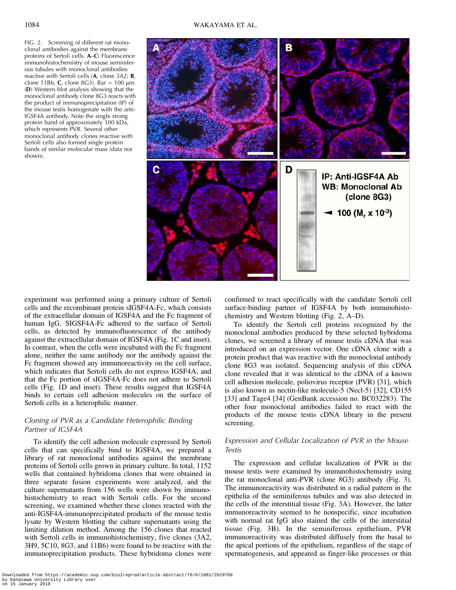FIG. 2. Screening of different rat monoclonal antibodies against the membrane proteins of Sertoli cells. A–C) Fluorescence immunohistochemistry of mouse seminiferous tubules with monoclonal antibodies reactive with Sertoli cells (A, clone 3A2; B, clone 11B6; C, clone 8G3). Bar = 100  $\mu$ m. (D) Western blot analysis showing that the monoclonal antibody clone 8G3 reacts with the product of immunoprecipitation (IP) of the mouse testis homogenate with the anti-IGSF4A antibody. Note the single strong protein band of approximately 100 kDa, which represents PVR. Several other monoclonal antibody clones reactive with Sertoli cells also formed single protein bands of similar molecular mass (data not shown).



experiment was performed using a primary culture of Sertoli cells and the recombinant protein sIGSF4A-Fc, which consists of the extracellular domain of IGSF4A and the Fc fragment of human IgG. SIGSF4A-Fc adhered to the surface of Sertoli cells, as detected by immunofluorescence of the antibody against the extracellular domain of IGSF4A (Fig. 1C and inset). In contrast, when the cells were incubated with the Fc fragment alone, neither the same antibody nor the antibody against the Fc fragment showed any immunoreactivity on the cell surface, which indicates that Sertoli cells do not express IGSF4A, and that the Fc portion of sIGSF4A-Fc does not adhere to Sertoli cells (Fig. 1D and inset). These results suggest that IGSF4A binds to certain cell adhesion molecules on the surface of Sertoli cells in a heterophilic manner.

# Cloning of PVR as a Candidate Heterophilic Binding Partner of IGSF4A

To identify the cell adhesion molecule expressed by Sertoli cells that can specifically bind to IGSF4A, we prepared a library of rat monoclonal antibodies against the membrane proteins of Sertoli cells grown in primary culture. In total, 1152 wells that contained hybridoma clones that were obtained in three separate fusion experiments were analyzed, and the culture supernatants from 156 wells were shown by immunohistochemistry to react with Sertoli cells. For the second screening, we examined whether these clones reacted with the anti-IGSF4A-immunoprecipitated products of the mouse testis lysate by Western blotting the culture supernatants using the limiting dilution method. Among the 156 clones that reacted with Sertoli cells in immunohistochemistry, five clones (3A2, 3H9, 5C10, 8G3, and 11B6) were found to be reactive with the immunoprecipitation products. These hybridoma clones were confirmed to react specifically with the candidate Sertoli cell surface-binding partner of IGSF4A by both immunohistochemistry and Western blotting (Fig. 2, A–D).

To identify the Sertoli cell proteins recognized by the monoclonal antibodies produced by these selected hybridoma clones, we screened a library of mouse testis cDNA that was introduced on an expression vector. One cDNA clone with a protein product that was reactive with the monoclonal antibody clone 8G3 was isolated. Sequencing analysis of this cDNA clone revealed that it was identical to the cDNA of a known cell adhesion molecule, poliovirus receptor (PVR) [31], which is also known as nectin-like molecule-5 (Necl-5) [32], CD155 [33] and Tage4 [34] (GenBank accession no. BC032283). The other four monoclonal antibodies failed to react with the products of the mouse testis cDNA library in the present screening.

# Expression and Cellular Localization of PVR in the Mouse Testis

The expression and cellular localization of PVR in the mouse testis were examined by immunohistochemistry using the rat monoclonal anti-PVR (clone 8G3) antibody (Fig. 3). The immunoreactivity was distributed in a radial pattern in the epithelia of the seminiferous tubules and was also detected in the cells of the interstitial tissue (Fig. 3A). However, the latter immunoreactivity seemed to be nonspecific, since incubation with normal rat IgG also stained the cells of the interstitial tissue (Fig. 3B). In the seminiferous epithelium, PVR immunoreactivity was distributed diffusely from the basal to the apical portions of the epithelium, regardless of the stage of spermatogenesis, and appeared as finger-like processes or thin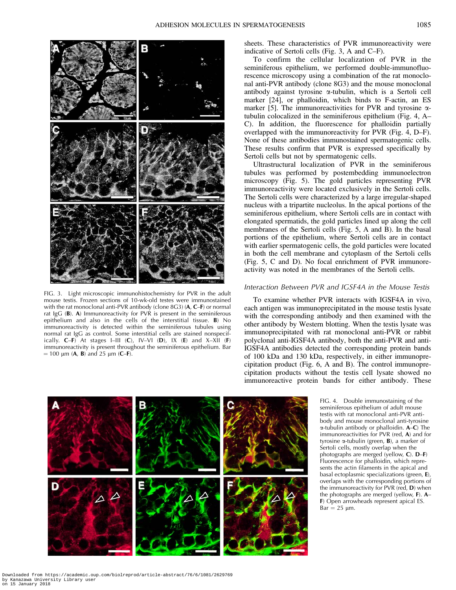

FIG. 3. Light microscopic immunohistochemistry for PVR in the adult mouse testis. Frozen sections of 10-wk-old testes were immunostained with the rat monoclonal anti-PVR antibody (clone  $8G3$ ) ( $A, C$ –F) or normal rat IgG (B). A) Immunoreactivity for PVR is present in the seminiferous epithelium and also in the cells of the interstitial tissue. B) No immunoreactivity is detected within the seminiferous tubules using normal rat IgG as control. Some interstitial cells are stained nonspecifically.  $C-F$  At stages I–III (C), IV–VI (D), IX (E) and X–XII (F) immunoreactivity is present throughout the seminiferous epithelium. Bar  $= 100$  µm (**A**, **B**) and 25 µm (**C–F**).

sheets. These characteristics of PVR immunoreactivity were indicative of Sertoli cells (Fig. 3, A and C–F).

To confirm the cellular localization of PVR in the seminiferous epithelium, we performed double-immunofluorescence microscopy using a combination of the rat monoclonal anti-PVR antibody (clone 8G3) and the mouse monoclonal antibody against tyrosine  $\alpha$ -tubulin, which is a Sertoli cell marker [24], or phalloidin, which binds to F-actin, an ES marker [5]. The immunoreactivities for PVR and tyrosine  $\alpha$ tubulin colocalized in the seminiferous epithelium (Fig. 4, A– C). In addition, the fluorescence for phalloidin partially overlapped with the immunoreactivity for PVR (Fig. 4, D–F). None of these antibodies immunostained spermatogenic cells. These results confirm that PVR is expressed specifically by Sertoli cells but not by spermatogenic cells.

Ultrastructural localization of PVR in the seminiferous tubules was performed by postembedding immunoelectron microscopy (Fig. 5). The gold particles representing PVR immunoreactivity were located exclusively in the Sertoli cells. The Sertoli cells were characterized by a large irregular-shaped nucleus with a tripartite nucleolus. In the apical portions of the seminiferous epithelium, where Sertoli cells are in contact with elongated spermatids, the gold particles lined up along the cell membranes of the Sertoli cells (Fig. 5, A and B). In the basal portions of the epithelium, where Sertoli cells are in contact with earlier spermatogenic cells, the gold particles were located in both the cell membrane and cytoplasm of the Sertoli cells (Fig. 5, C and D). No focal enrichment of PVR immunoreactivity was noted in the membranes of the Sertoli cells.

# Interaction Between PVR and IGSF4A in the Mouse Testis

To examine whether PVR interacts with IGSF4A in vivo, each antigen was immunoprecipitated in the mouse testis lysate with the corresponding antibody and then examined with the other antibody by Western blotting. When the testis lysate was immunoprecipitated with rat monoclonal anti-PVR or rabbit polyclonal anti-IGSF4A antibody, both the anti-PVR and anti-IGSF4A antibodies detected the corresponding protein bands of 100 kDa and 130 kDa, respectively, in either immunoprecipitation product (Fig. 6, A and B). The control immunoprecipitation products without the testis cell lysate showed no immunoreactive protein bands for either antibody. These



FIG. 4. Double immunostaining of the seminiferous epithelium of adult mouse testis with rat monoclonal anti-PVR antibody and mouse monoclonal anti-tyrosine  $\alpha$ -tubulin antibody or phalloidin. **A–C**) The immunoreactivities for PVR (red, A) and for tyrosine  $\alpha$ -tubulin (green, **B**), a marker of Sertoli cells, mostly overlap when the photographs are merged (yellow, C). D–F) Fluorescence for phalloidin, which represents the actin filaments in the apical and basal ectoplasmic specializations (green, E), overlaps with the corresponding portions of the immunoreactivity for PVR (red, D) when the photographs are merged (yellow, F). A– F) Open arrowheads represent apical ES.  $Bar = 25 \mu m$ .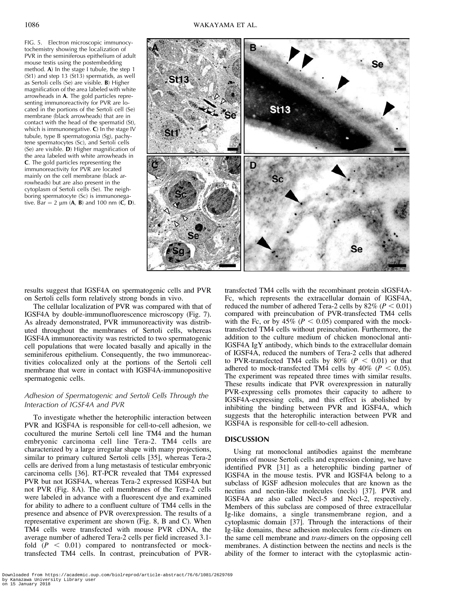FIG. 5. Electron microscopic immunocytochemistry showing the localization of PVR in the seminiferous epithelium of adult mouse testis using the postembedding method. A) In the stage I tubule, the step 1 (St1) and step 13 (St13) spermatids, as well as Sertoli cells (Se) are visible. B) Higher magnification of the area labeled with white arrowheads in A. The gold particles representing immunoreactivity for PVR are located in the portions of the Sertoli cell (Se) membrane (black arrowheads) that are in contact with the head of the spermatid (St), which is immunonegative. C) In the stage IV tubule, type B spermatogonia (Sg), pachytene spermatocytes (Sc), and Sertoli cells (Se) are visible. D) Higher magnification of the area labeled with white arrowheads in C. The gold particles representing the immunoreactivity for PVR are located mainly on the cell membrane (black arrowheads) but are also present in the cytoplasm of Sertoli cells (Se). The neighboring spermatocyte (Sc) is immunonegative. Bar = 2  $\mu$ m (**A**, **B**) and 100 nm (**C**, **D**).



results suggest that IGSF4A on spermatogenic cells and PVR on Sertoli cells form relatively strong bonds in vivo.

The cellular localization of PVR was compared with that of IGSF4A by double-immunofluorescence microscopy (Fig. 7). As already demonstrated, PVR immunoreactivity was distributed throughout the membranes of Sertoli cells, whereas IGSF4A immunoreactivity was restricted to two spermatogenic cell populations that were located basally and apically in the seminiferous epithelium. Consequently, the two immunoreactivities colocalized only at the portions of the Sertoli cell membrane that were in contact with IGSF4A-immunopositive spermatogenic cells.

# Adhesion of Spermatogenic and Sertoli Cells Through the Interaction of IGSF4A and PVR

To investigate whether the heterophilic interaction between PVR and IGSF4A is responsible for cell-to-cell adhesion, we cocultured the murine Sertoli cell line TM4 and the human embryonic carcinoma cell line Tera-2. TM4 cells are characterized by a large irregular shape with many projections, similar to primary cultured Sertoli cells [35], whereas Tera-2 cells are derived from a lung metastasis of testicular embryonic carcinoma cells [36]. RT-PCR revealed that TM4 expressed PVR but not IGSF4A, whereas Tera-2 expressed IGSF4A but not PVR (Fig. 8A). The cell membranes of the Tera-2 cells were labeled in advance with a fluorescent dye and examined for ability to adhere to a confluent culture of TM4 cells in the presence and absence of PVR overexpression. The results of a representative experiment are shown (Fig. 8, B and C). When TM4 cells were transfected with mouse PVR cDNA, the average number of adhered Tera-2 cells per field increased 3.1 fold  $(P < 0.01)$  compared to nontransfected or mocktransfected TM4 cells. In contrast, preincubation of PVR- Fc, which represents the extracellular domain of IGSF4A, reduced the number of adhered Tera-2 cells by  $82\%$  ( $P < 0.01$ ) compared with preincubation of PVR-transfected TM4 cells with the Fc, or by 45% ( $P < 0.05$ ) compared with the mocktransfected TM4 cells without preincubation. Furthermore, the addition to the culture medium of chicken monoclonal anti-IGSF4A IgY antibody, which binds to the extracellular domain of IGSF4A, reduced the numbers of Tera-2 cells that adhered to PVR-transfected TM4 cells by  $80\%$  ( $P < 0.01$ ) or that adhered to mock-transfected TM4 cells by  $40\%$  ( $P < 0.05$ ). The experiment was repeated three times with similar results. These results indicate that PVR overexpression in naturally PVR-expressing cells promotes their capacity to adhere to IGSF4A-expressing cells, and this effect is abolished by inhibiting the binding between PVR and IGSF4A, which suggests that the heterophilic interaction between PVR and IGSF4A is responsible for cell-to-cell adhesion.

transfected TM4 cells with the recombinant protein sIGSF4A-

# DISCUSSION

Using rat monoclonal antibodies against the membrane proteins of mouse Sertoli cells and expression cloning, we have identified PVR [31] as a heterophilic binding partner of IGSF4A in the mouse testis. PVR and IGSF4A belong to a subclass of IGSF adhesion molecules that are known as the nectins and nectin-like molecules (necls) [37]. PVR and IGSF4A are also called Necl-5 and Necl-2, respectively. Members of this subclass are composed of three extracellular Ig-like domains, a single transmembrane region, and a cytoplasmic domain [37]. Through the interactions of their Ig-like domains, these adhesion molecules form cis-dimers on the same cell membrane and trans-dimers on the opposing cell membranes. A distinction between the nectins and necls is the ability of the former to interact with the cytoplasmic actin-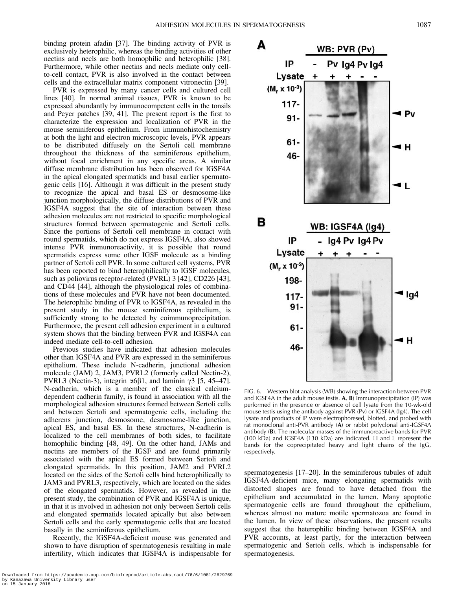binding protein afadin [37]. The binding activity of PVR is exclusively heterophilic, whereas the binding activities of other nectins and necls are both homophilic and heterophilic [38]. Furthermore, while other nectins and necls mediate only cellto-cell contact, PVR is also involved in the contact between cells and the extracellular matrix component vitronectin [39].

PVR is expressed by many cancer cells and cultured cell lines [40]. In normal animal tissues, PVR is known to be expressed abundantly by immunocompetent cells in the tonsils and Peyer patches [39, 41]. The present report is the first to characterize the expression and localization of PVR in the mouse seminiferous epithelium. From immunohistochemistry at both the light and electron microscopic levels, PVR appears to be distributed diffusely on the Sertoli cell membrane throughout the thickness of the seminiferous epithelium, without focal enrichment in any specific areas. A similar diffuse membrane distribution has been observed for IGSF4A in the apical elongated spermatids and basal earlier spermatogenic cells [16]. Although it was difficult in the present study to recognize the apical and basal ES or desmosome-like junction morphologically, the diffuse distributions of PVR and IGSF4A suggest that the site of interaction between these adhesion molecules are not restricted to specific morphological structures formed between spermatogenic and Sertoli cells. Since the portions of Sertoli cell membrane in contact with round spermatids, which do not express IGSF4A, also showed intense PVR immunoreactivity, it is possible that round spermatids express some other IGSF molecule as a binding partner of Sertoli cell PVR. In some cultured cell systems, PVR has been reported to bind heterophilically to IGSF molecules, such as poliovirus receptor-related (PVRL) 3 [42], CD226 [43], and CD44 [44], although the physiological roles of combinations of these molecules and PVR have not been documented. The heterophilic binding of PVR to IGSF4A, as revealed in the present study in the mouse seminiferous epithelium, is sufficiently strong to be detected by coimmunoprecipitation. Furthermore, the present cell adhesion experiment in a cultured system shows that the binding between PVR and IGSF4A can indeed mediate cell-to-cell adhesion.

Previous studies have indicated that adhesion molecules other than IGSF4A and PVR are expressed in the seminiferous epithelium. These include N-cadherin, junctional adhesion molecule (JAM) 2, JAM3, PVRL2 (formerly called Nectin-2), PVRL3 (Nectin-3), integrin  $\alpha$ 6 $\beta$ 1, and laminin  $\gamma$ 3 [5, 45–47]. N-cadherin, which is a member of the classical calciumdependent cadherin family, is found in association with all the morphological adhesion structures formed between Sertoli cells and between Sertoli and spermatogenic cells, including the adherens junction, desmosome, desmosome-like junction, apical ES, and basal ES. In these structures, N-cadherin is localized to the cell membranes of both sides, to facilitate homophilic binding [48, 49]. On the other hand, JAMs and nectins are members of the IGSF and are found primarily associated with the apical ES formed between Sertoli and elongated spermatids. In this position, JAM2 and PVRL2 located on the sides of the Sertoli cells bind heterophilically to JAM3 and PVRL3, respectively, which are located on the sides of the elongated spermatids. However, as revealed in the present study, the combination of PVR and IGSF4A is unique, in that it is involved in adhesion not only between Sertoli cells and elongated spermatids located apically but also between Sertoli cells and the early spermatogenic cells that are located basally in the seminiferous epithelium.

Recently, the IGSF4A-deficient mouse was generated and shown to have disruption of spermatogenesis resulting in male infertility, which indicates that IGSF4A is indispensable for



FIG. 6. Western blot analysis (WB) showing the interaction between PVR and IGSF4A in the adult mouse testis.  $A$ ,  $B$ ) Immunoprecipitation (IP) was performed in the presence or absence of cell lysate from the 10-wk-old mouse testis using the antibody against PVR (Pv) or IGSF4A (Ig4). The cell lysate and products of IP were electrophoresed, blotted, and probed with rat monoclonal anti-PVR antibody (A) or rabbit polyclonal anti-IGSF4A antibody (B). The molecular masses of the immunoreactive bands for PVR (100 kDa) and IGSF4A (130 kDa) are indicated. H and L represent the bands for the coprecipitated heavy and light chains of the IgG, respectively.

spermatogenesis [17–20]. In the seminiferous tubules of adult IGSF4A-deficient mice, many elongating spermatids with distorted shapes are found to have detached from the epithelium and accumulated in the lumen. Many apoptotic spermatogenic cells are found throughout the epithelium, whereas almost no mature motile spermatozoa are found in the lumen. In view of these observations, the present results suggest that the heterophilic binding between IGSF4A and PVR accounts, at least partly, for the interaction between spermatogenic and Sertoli cells, which is indispensable for spermatogenesis.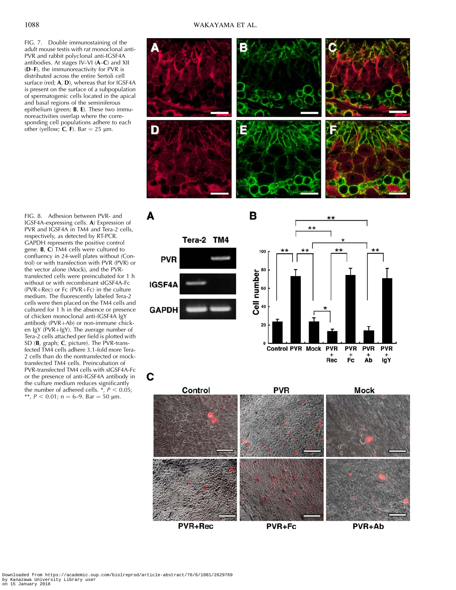FIG. 7. Double immunostaining of the adult mouse testis with rat monoclonal anti-PVR and rabbit polyclonal anti-IGSF4A antibodies. At stages IV–VI (A–C) and XII  $(D-F)$ , the immunoreactivity for PVR is distributed across the entire Sertoli cell surface (red; A, D), whereas that for IGSF4A is present on the surface of a subpopulation of spermatogenic cells located in the apical and basal regions of the seminiferous epithelium (green; B, E). These two immunoreactivities overlap where the corresponding cell populations adhere to each other (yellow;  $C$ , F). Bar = 25 µm.



FIG. 8. Adhesion between PVR- and IGSF4A-expressing cells. A) Expression of PVR and IGSF4A in TM4 and Tera-2 cells, respectively, as detected by RT-PCR. GAPDH represents the positive control gene. **B**,  $C$  TM4 cells were cultured to confluency in 24-well plates without (Control) or with transfection with PVR (PVR) or the vector alone (Mock), and the PVRtransfected cells were preincubated for 1 h without or with recombinant sIGSF4A-Fc  $(PVR+Rec)$  or Fc  $(PVR+Fc)$  in the culture medium. The fluorescently labeled Tera-2 cells were then placed on the TM4 cells and cultured for 1 h in the absence or presence of chicken monoclonal anti-IGSF4A IgY antibody ( $PVR+Ab$ ) or non-immune chicken IgY ( $PVR+IgY$ ). The average number of Tera-2 cells attached per field is plotted with SD (B, graph; C, picture). The PVR-transfected TM4 cells adhere 3.1-fold more Tera-2 cells than do the nontransfected or mocktransfected TM4 cells. Preincubation of PVR-transfected TM4 cells with sIGSF4A-Fc or the presence of anti-IGSF4A antibody in the culture medium reduces significantly the number of adhered cells.  $\frac{8}{7}$ ,  $P < 0.05$ ; \*\*,  $P < 0.01$ ; n = 6–9. Bar = 50 µm.



PVR+Fc

PVR+Ab



**PVR+Rec**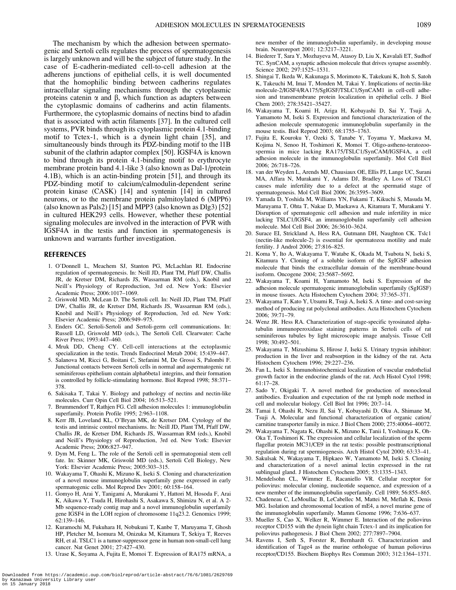The mechanism by which the adhesion between spermatogenic and Sertoli cells regulates the process of spermatogenesis is largely unknown and will be the subject of future study. In the case of E-cadherin-mediated cell-to-cell adhesion at the adherens junctions of epithelial cells, it is well documented that the homophilic binding between cadherins regulates intracellular signaling mechanisms through the cytoplasmic proteins catenin  $\alpha$  and  $\beta$ , which function as adapters between the cytoplasmic domains of cadherins and actin filaments. Furthermore, the cytoplasmic domains of nectins bind to afadin that is associated with actin filaments [37]. In the cultured cell systems, PVR binds through its cytoplasmic protein 4.1-binding motif to Tctex-1, which is a dynein light chain [35], and simultaneously binds through its PDZ-binding motif to the l1B subunit of the clathrin adaptor complex [50]. IGSF4A is known to bind through its protein 4.1-binding motif to erythrocyte membrane protein band 4.1-like 3 (also known as Dal-1/protein 4.1B), which is an actin-binding protein [51], and through its PDZ-binding motif to calcium/calmodulin-dependent serine protein kinase (CASK) [14] and syntenin [14] in cultured neurons, or to the membrane protein palmitoylated 6 (MPP6) (also known as Pals2) [15] and MPP3 (also known as Dlg3) [52] in cultured HEK293 cells. However, whether these potential signaling molecules are involved in the interaction of PVR with IGSF4A in the testis and function in spermatogenesis is unknown and warrants further investigation.

#### REFERENCES

- 1. O'Donnell L, Meachem SJ, Stanton PG, McLachlan RI. Endocrine regulation of spermatogenesis. In: Neill JD, Plant TM, Pfaff DW, Challis JR, de Kretser DM, Richards JS, Wassarman RM (eds.), Knobil and Neill's Physiology of Reproduction, 3rd ed. New York: Elsevier Academic Press; 2006:1017–1069.
- 2. Griswold MD, McLean D. The Sertoli cell. In: Neill JD, Plant TM, Pfaff DW, Challis JR, de Kretser DM, Richards JS, Wassarman RM (eds.), Knobil and Neill's Physiology of Reproduction, 3rd ed. New York: Elsevier Academic Press; 2006:949–975.
- 3. Enders GC. Sertoli-Sertoli and Sertoli-germ cell communications. In: Russell LD, Griswold MD (eds.), The Sertoli Cell. Clearwater: Cache River Press; 1993:447–460.
- 4. Mruk DD, Cheng CY. Cell-cell interactions at the ectoplasmic specialization in the testis. Trends Endocrinol Metab 2004; 15:439–447.
- 5. Salanova M, Ricci G, Boitani C, Stefanini M, De Grossi S, Palombi F. Junctional contacts between Sertoli cells in normal and aspermatogenic rat seminiferous epithelium contain alpha6beta1 integrins, and their formation is controlled by follicle-stimulating hormone. Biol Reprod 1998; 58:371– 378.
- 6. Sakisaka T, Takai Y. Biology and pathology of nectins and nectin-like molecules. Curr Opin Cell Biol 2004; 16:513–521.
- 7. Brummendorf T, Rathjen FG. Cell adhesion molecules 1: immunoglobulin superfamily. Protein Profile 1995; 2:963–1108.
- 8. Kerr JB, Loveland KL, O'Bryan MK, de Kretser DM. Cytology of the testis and intrinsic control mechanisms. In: Neill JD, Plant TM, Pfaff DW, Challis JR, de Kretser DM, Richards JS, Wassarman RM (eds.), Knobil and Neill's Physiology of Reproduction, 3rd ed. New York: Elsevier Academic Press; 2006:827–947.
- 9. Dym M, Feng L. The role of the Sertoli cell in spermatogonial stem cell fate. In: Skinner MK, Griswold MD (eds.), Sertoli Cell Biology, New York: Elsevier Academic Press; 2005:303–315.
- 10. Wakayama T, Ohashi K, Mizuno K, Iseki S. Cloning and characterization of a novel mouse immunoglobulin superfamily gene expressed in early spermatogenic cells. Mol Reprod Dev 2001; 60:158–164.
- 11. Gomyo H, Arai Y, Tanigami A, Murakami Y, Hattori M, Hosoda F, Arai K, Aikawa Y, Tsuda H, Hirohashi S, Asakawa S, Shimizu N, et al. A 2- Mb sequence-ready contig map and a novel immunoglobulin superfamily gene IGSF4 in the LOH region of chromosome 11q23.2. Genomics 1999; 62:139–146.
- 12. Kuramochi M, Fukuhara H, Nobukuni T, Kanbe T, Maruyama T, Ghosh HP, Pletcher M, Isomura M, Onizuka M, Kitamura T, Sekiya T, Reeves RH, et al. TSLC1 is a tumor-suppressor gene in human non-small-cell lung cancer. Nat Genet 2001; 27:427–430.
- 13. Urase K, Soyama A, Fujita E, Momoi T. Expression of RA175 mRNA, a

new member of the immunoglobulin superfamily, in developing mouse brain. Neuroreport 2001; 12:3217–3221.

- 14. Biederer T, Sara Y, Mozhayeva M, Atasoy D, Liu X, Kavalali ET, Sudhof TC. SynCAM, a synaptic adhesion molecule that drives synapse assembly. Science 2002; 297:1525–1531.
- 15. Shingai T, Ikeda W, Kakunaga S, Morimoto K, Takekuni K, Itoh S, Satoh K, Takeuchi M, Imai T, Monden M, Takai Y. Implications of nectin-like molecule-2/IGSF4/RA175/SgIGSF/TSLC1/SynCAM1 in cell-cell adhesion and transmembrane protein localization in epithelial cells. J Biol Chem 2003; 278:35421–35427.
- 16. Wakayama T, Koami H, Ariga H, Kobayashi D, Sai Y, Tsuji A, Yamamoto M, Iseki S. Expression and functional characterization of the adhesion molecule spermatogenic immunoglobulin superfamily in the mouse testis. Biol Reprod 2003; 68:1755–1763.
- 17. Fujita E, Kouroku Y, Ozeki S, Tanabe Y, Toyama Y, Maekawa M, Kojima N, Senoo H, Toshimori K, Momoi T. Oligo-astheno-teratozoospermia in mice lacking RA175/TSLC1/SynCAM/IGSF4A, a cell adhesion molecule in the immunoglobulin superfamily. Mol Cell Biol 2006; 26:718–726.
- 18. van der Weyden L, Arends MJ, Chausiaux OE, Ellis PJ, Lange UC, Surani MA, Affara N, Murakami Y, Adams DJ, Bradley A. Loss of TSLC1 causes male infertility due to a defect at the spermatid stage of spermatogenesis. Mol Cell Biol 2006; 26:3595–3609.
- 19. Yamada D, Yoshida M, Williams YN, Fukami T, Kikuchi S, Masuda M, Maruyama T, Ohta T, Nakae D, Maekawa A, Kitamura T, Murakami Y. Disruption of spermatogenic cell adhesion and male infertility in mice lacking TSLC1/IGSF4, an immunoglobulin superfamily cell adhesion molecule. Mol Cell Biol 2006; 26:3610–3624.
- 20. Surace EI, Strickland A, Hess RA, Gutmann DH, Naughton CK. Tslc1 (nectin-like molecule-2) is essential for spermatozoa motility and male fertility. J Androl 2006; 27:816–825.
- 21. Koma Y, Ito A, Wakayama T, Watabe K, Okada M, Tsubota N, Iseki S, Kitamura Y. Cloning of a soluble isoform of the SgIGSF adhesion molecule that binds the extracellular domain of the membrane-bound isoform. Oncogene 2004; 23:5687–5692.
- 22. Wakayama T, Koami H, Yamamoto M, Iseki S. Expression of the adhesion molecule spermatogenic immunoglobulin superfamily (SgIGSF) in mouse tissues. Acta Histochem Cytochem 2004; 37:365–371.
- 23. Wakayama T, Kato Y, Utsumi R, Tsuji A, Iseki S. A time- and cost-saving method of producing rat polyclonal antibodies. Acta Histochem Cytochem 2006; 39:71–79.
- 24. Wenz JR. Hess RA. Characterization of stage-specific tyrosinated alphatubulin immunoperoxidase staining patterns in Sertoli cells of rat seminiferous tubules by light microscopic image analysis. Tissue Cell 1998; 30:492–501.
- 25. Wakayama T, Mizushima S, Hirose J, Iseki S. Urinary trypsin inhibitor: production in the liver and reabsorption in the kidney of the rat. Acta Histochem Cytochem 1996; 29:227–236.
- 26. Fan L, Iseki S. Immunohistochemical localization of vascular endothelial growth factor in the endocrine glands of the rat. Arch Histol Cytol 1998; 61:17–28.
- 27. Sado Y, Okigaki T. A novel method for production of monoclonal antibodies. Evaluation and expectation of the rat lymph node method in cell and molecular biology. Cell Biol Int 1996; 20:7–14.
- 28. Tamai I, Ohashi R, Nezu JI, Sai Y, Kobayashi D, Oku A, Shimane M, Tsuji A. Molecular and functional characterization of organic cation/ carnitine transporter family in mice. J Biol Chem 2000; 275:40064–40072.
- 29. Wakayama T, Nagata K, Ohashi K, Mizuno K, Tanii I, Yoshinaga K, Oh-Oka T, Toshimori K. The expression and cellular localization of the sperm flagellar protein MC31/CE9 in the rat testis: possible posttranscriptional regulation during rat spermiogenesis. Arch Histol Cytol 2000; 63:33–41.
- 30. Sakulsak N, Wakayama T, Hipkaeo W, Yamamoto M, Iseki S. Cloning and characterization of a novel animal lectin expressed in the rat sublingual gland. J Histochem Cytochem 2005; 53:1335–1343.
- 31. Mendelsohn CL, Wimmer E, Racaniello VR. Cellular receptor for poliovirus: molecular cloning, nucleotide sequence, and expression of a new member of the immunoglobulin superfamily. Cell 1989; 56:855–865.
- 32. Chadeneau C, LeMoullac B, LeCabellec M, Mattei M, Meflah K, Denis MG. Isolation and chromosomal location of mE4, a novel murine gene of the immunoglobulin superfamily. Mamm Genome 1996; 7:636–637.
- 33. Mueller S, Cao X, Welker R, Wimmer E. Interaction of the poliovirus receptor CD155 with the dynein light chain Tctex-1 and its implication for poliovirus pathogenesis. J Biol Chem 2002; 277:7897–7904.
- 34. Ravens I, Seth S, Forster R, Bernhardt G. Characterization and identification of Tage4 as the murine orthologue of human poliovirus receptor/CD155. Biochem Biophys Res Commun 2003; 312:1364–1371.